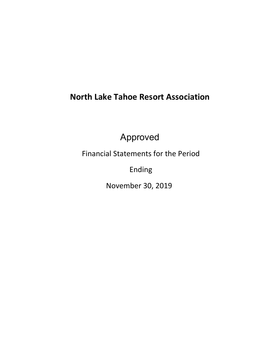# **North Lake Tahoe Resort Association**

Approved

Financial Statements for the Period

Ending

November 30, 2019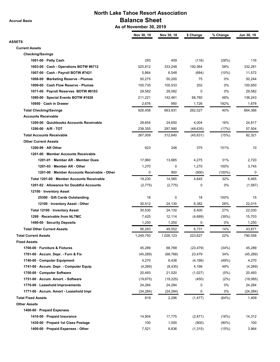**Accrual Basis**

# **North Lake Tahoe Resort Association Balance Sheet**

 **As of November 30, 2019**

|                                              | Nov 30, 19 | Nov 30, 18 | \$ Change   | % Change | Jun 30, 19 |
|----------------------------------------------|------------|------------|-------------|----------|------------|
| ASSETS                                       |            |            |             |          |            |
| <b>Current Assets</b>                        |            |            |             |          |            |
| <b>Checking/Savings</b>                      |            |            |             |          |            |
| 1001-00 · Petty Cash                         | 293        | 409        | (116)       | (28%)    | 116        |
| 1003-00 · Cash - Operations BOTW #6712       | 525,812    | 333,248    | 192,564     | 58%      | 332,281    |
| 1007-00 · Cash - Payroll BOTW #7421          | 5,864      | 6,548      | (684)       | (10%)    | 11,572     |
| 1008-00 · Marketing Reserve - Plumas         | 50,275     | 50,200     | 75          | 0%       | 50,244     |
| 1009-00 · Cash Flow Reserve - Plumas         | 100,735    | 100,533    | 202         | 0%       | 100,650    |
| 1071-00 · Payroll Reserves BOTW #8163        | 29,582     | 29,582     | $\mathbf 0$ | 0%       | 29,582     |
| 1080-00 · Special Events BOTW #1626          | 211,221    | 142,461    | 68,760      | 48%      | 138,243    |
| 10950 · Cash in Drawer                       | 2,676      | 950        | 1,726       | 182%     | 1,678      |
| <b>Total Checking/Savings</b>                | 926,458    | 663,931    | 262,527     | 40%      | 664,366    |
| <b>Accounts Receivable</b>                   |            |            |             |          |            |
| 1200-00 · Quickbooks Accounts Receivable     | 28,654     | 24,650     | 4,004       | 16%      | 24,817     |
| $1290-00 \cdot A/R - TOT$                    | 238,355    | 287,990    | (49, 635)   | (17%)    | 57,504     |
| <b>Total Accounts Receivable</b>             | 267,009    | 312,640    | (45, 631)   | (15%)    | 82,321     |
| <b>Other Current Assets</b>                  |            |            |             |          |            |
| 1200-99 $\cdot$ AR Other                     | 623        | 248        | 375         | 151%     | 10         |
| 1201-00 · Member Accounts Receivable         |            |            |             |          |            |
| 1201-01 · Member AR - Member Dues            | 17,960     | 13.685     | 4,275       | 31%      | 2,720      |
| 1201-03 · Member AR - Other                  | 1,270      | 0          | 1,270       | 100%     | 3,745      |
| 1201-00 · Member Accounts Receivable - Other | 0          | 900        | (900)       | (100%)   | 0          |
| Total 1201-00 · Member Accounts Receivable   | 19,230     | 14,585     | 4,645       | 32%      | 6,465      |
| 1201-02 · Allowance for Doubtful Accounts    | (2, 775)   | (2,775)    | $\mathbf 0$ | 0%       | (1,587)    |
| 12100 · Inventory Asset                      |            |            |             |          |            |
| 25300 · Gift Cards Outstanding               | 18         | 0          | 18          | 100%     | 15         |
| 12100 · Inventory Asset - Other              | 30,512     | 24,130     | 6,382       | 26%      | 22,015     |
| Total 12100 · Inventory Asset                | 30,530     | 24,130     | 6,400       | 27%      | 22,030     |
| 1299 · Receivable from NLTMC                 | 7,425      | 12,114     | (4,689)     | (39%)    | 15,703     |
| 1490-00 · Security Deposits                  | 1,250      | 1,250      | 0           | 0%       | 1,250      |
| <b>Total Other Current Assets</b>            | 56,283     | 49,552     | 6,731       | 14%      | 43,871     |
| <b>Total Current Assets</b>                  | 1,249,750  | 1,026,123  | 223,627     | 22%      | 790,558    |
| <b>Fixed Assets</b>                          |            |            |             |          |            |
| 1700-00 · Furniture & Fixtures               | 45,289     | 68,768     | (23, 479)   | (34%)    | 45,289     |
| 1701-00 · Accum. Depr. - Furn & Fix          | (45, 289)  | (68, 768)  | 23,479      | 34%      | (45, 289)  |
| 1740-00 · Computer Equipment                 | 4,270      | 8,436      | (4, 166)    | (49%)    | 4,270      |
| 1741-00 · Accum. Depr. - Computer Equip      | (4,269)    | (8, 435)   | 4,166       | 49%      | (4,269)    |
| 1750-00 · Computer Software                  | 20,493     | 21,520     | (1,027)     | (5%)     | 20,493     |
| 1751-00 · Accum. Amort. - Software           | (19, 675)  | (19, 225)  | (450)       | (2%)     | (19,085)   |
| 1770-00 · Leasehold Improvements             | 24,284     | 24,284     | 0           | 0%       | 24,284     |
| 1771-00 · Accum. Amort - Leasehold Impr      | (24, 284)  | (24, 284)  | 0           | 0%       | (24, 284)  |
| <b>Total Fixed Assets</b>                    | 819        | 2,296      | (1, 477)    | (64%)    | 1,409      |
| <b>Other Assets</b>                          |            |            |             |          |            |
| 1400-00 · Prepaid Expenses                   |            |            |             |          |            |
| 1410-00 · Prepaid Insurance                  | 14,904     | 17,775     | (2,871)     | (16%)    | 14,312     |
| 1430-00 · Prepaid 1st Class Postage          | 100        | 1,000      | (900)       | $(90\%)$ | 100        |
| 1400-00 · Prepaid Expenses - Other           | 7,521      | 8,836      | (1, 315)    | (15%)    | 3,964      |
|                                              |            |            |             |          |            |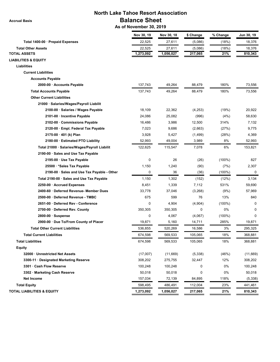**Accrual Basis**

# **North Lake Tahoe Resort Association Balance Sheet**

 **As of November 30, 2019**

|                                               | Nov 30, 19  | Nov 30, 18 | \$ Change | % Change  | Jun 30, 19 |
|-----------------------------------------------|-------------|------------|-----------|-----------|------------|
| Total 1400-00 · Prepaid Expenses              | 22,525      | 27,611     | (5,086)   | (18%)     | 18,376     |
| <b>Total Other Assets</b>                     | 22,525      | 27,611     | (5,086)   | (18%)     | 18,376     |
| <b>TOTAL ASSETS</b>                           | 1,273,092   | 1,056,027  | 217,065   | 21%       | 810,343    |
| <b>LIABILITIES &amp; EQUITY</b>               |             |            |           |           |            |
| <b>Liabilities</b>                            |             |            |           |           |            |
| <b>Current Liabilities</b>                    |             |            |           |           |            |
| <b>Accounts Payable</b>                       |             |            |           |           |            |
| 2000-00 · Accounts Payable                    | 137,743     | 49,264     | 88,479    | 180%      | 73,556     |
| <b>Total Accounts Payable</b>                 | 137,743     | 49,264     | 88,479    | 180%      | 73,556     |
| <b>Other Current Liabilities</b>              |             |            |           |           |            |
| 21000 · Salaries/Wages/Payroll Liabilit       |             |            |           |           |            |
| 2100-00 · Salaries / Wages Payable            | 18,109      | 22,362     | (4,253)   | (19%)     | 20,922     |
| 2101-00 · Incentive Payable                   | 24,086      | 25,082     | (996)     | (4%)      | 58,630     |
| 2102-00 Commissions Payable                   | 16,486      | 3,986      | 12,500    | 314%      | 7,132      |
| 2120-00 · Empl. Federal Tax Payable           | 7,023       | 9,686      | (2,663)   | (27%)     | 9,775      |
| 2175-00 · 401 (k) Plan                        | 3,928       | 5,427      | (1,499)   | (28%)     | 4,369      |
| 2180-00 · Estimated PTO Liability             | 52,993      | 49,004     | 3,989     | 8%        | 52,993     |
| Total 21000 · Salaries/Wages/Payroll Liabilit | 122,625     | 115,547    | 7,078     | 6%        | 153,821    |
| 2190-00 · Sales and Use Tax Payable           |             |            |           |           |            |
| 2195-00 · Use Tax Payable                     | 0           | 26         | (26)      | $(100\%)$ | 827        |
| 25500 · *Sales Tax Payable                    | 1,150       | 1,240      | (90)      | (7%)      | 2,307      |
| 2190-00 · Sales and Use Tax Payable - Other   | 0           | 36         | (36)      | $(100\%)$ | 0          |
| Total 2190-00 · Sales and Use Tax Payable     | 1,150       | 1,302      | (152)     | (12%)     | 3,134      |
| 2250-00 · Accrued Expenses                    | 8,451       | 1,339      | 7,112     | 531%      | 59,690     |
| 2400-60 · Deferred Revenue- Member Dues       | 33,778      | 37,046     | (3,268)   | (9%)      | 57,969     |
| 2500-00 · Deferred Revenue - TMBC             | 675         | 599        | 76        | 13%       | 840        |
| 2651-00 · Deferred Rev - Conference           | $\mathbf 0$ | 4,904      | (4,904)   | $(100\%)$ | $\Omega$   |
| 2700-00 · Deferred Rev. County                | 350,305     | 350,305    | 0         | 0%        | 0          |
| $2800-00 \cdot$ Suspense                      | 0           | 4,067      | (4,067)   | $(100\%)$ | $\Omega$   |
| 2900-00 · Due To/From County of Placer        | 19,871      | 5,160      | 14,711    | 285%      | 19,871     |
| <b>Total Other Current Liabilities</b>        | 536,855     | 520,269    | 16,586    | 3%        | 295,325    |
| <b>Total Current Liabilities</b>              | 674,598     | 569,533    | 105,065   | 18%       | 368,881    |
| <b>Total Liabilities</b>                      | 674,598     | 569,533    | 105,065   | 18%       | 368,881    |
| <b>Equity</b>                                 |             |            |           |           |            |
| 32000 · Unrestricted Net Assets               | (17,007)    | (11,669)   | (5,338)   | (46%)     | (11,669)   |
| 3300-11 · Designated Marketing Reserve        | 308,202     | 275,755    | 32,447    | 12%       | 308,202    |
| 3301 · Cash Flow Reserve                      | 100,248     | 100,248    | 0         | 0%        | 100,248    |
| 3302 · Marketing Cash Reserve                 | 50,018      | 50,018     | 0         | 0%        | 50,018     |
| <b>Net Income</b>                             | 157,034     | 72,139     | 84,895    | 118%      | (5, 338)   |
| <b>Total Equity</b>                           | 598,495     | 486,491    | 112,004   | 23%       | 441,461    |
| <b>TOTAL LIABILITIES &amp; EQUITY</b>         | 1,273,092   | 1,056,027  | 217,065   | 21%       | 810,343    |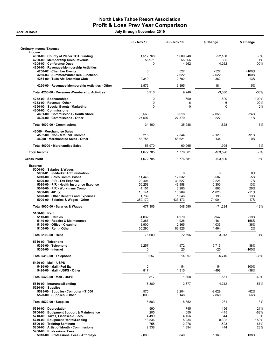## North Lake Tahoe Resort Association Profit & Loss Prev Year Comparison

Accrual Basis July through November 2019

|                                                                                                                     | <b>Jul - Nov 19</b>  | Jul - Nov 18         | \$ Change         | % Change                 |
|---------------------------------------------------------------------------------------------------------------------|----------------------|----------------------|-------------------|--------------------------|
| <b>Ordinary Income/Expense</b><br>Income                                                                            |                      |                      |                   |                          |
| 4050-00 County of Placer TOT Funding<br>4200-00 · Membership Dues Revenue                                           | 1,517,768<br>55,971  | 1,609,948<br>55,366  | $-92,180$<br>605  | $-6%$<br>1%              |
| 4205-00 · Conference Dues<br>4250-00 · Revenues-Membership Activities                                               | $\Omega$             | 4,262                | $-4,262$          | $-100%$                  |
| 4250-02 · Chamber Events                                                                                            | 0                    | 527                  | -527              | $-100%$                  |
| 4250-03 · Summer/Winter Rec Luncheon<br>4251-00 · Tues AM Breakfast Club                                            | $\mathbf 0$<br>2,340 | 2,622<br>2,702       | $-2,622$<br>-362  | $-100%$<br>$-13%$        |
| 4250-00 · Revenues-Membership Activities - Other                                                                    | 3,576                | 3,395                | 181               | 5%                       |
| Total 4250-00 · Revenues-Membership Activities                                                                      | 5,916                | 9,246                | $-3,330$          | -36%                     |
| 4252-00 · Sponsorships<br>4253-00 · Revenue- Other<br>4350-00 · Special Events (Marketing)<br>4600-00 · Commissions | 0<br>0<br>0          | 600<br>6<br>$\Omega$ | $-600$<br>-6<br>0 | $-100%$<br>$-100%$<br>0% |
| 4601-00 · Commissions - South Shore<br>4600-00 · Commissions - Other                                                | 6,563<br>27,597      | 8,618<br>27,370      | $-2,055$<br>227   | $-24%$<br>1%             |
| Total 4600-00 · Commissions                                                                                         | 34,160               | 35,988               | $-1,828$          | $-5%$                    |
| 46000 · Merchandise Sales<br>4502-00 · Non-Retail VIC income<br>46000 · Merchandise Sales - Other                   | 215<br>58,755        | 2,344<br>58,621      | $-2,129$<br>134   | $-91%$<br>0%             |
| Total 46000 · Merchandise Sales                                                                                     | 58,970               | 60,965               | $-1,995$          | $-3%$                    |
| <b>Total Income</b>                                                                                                 | 1,672,785            | 1,776,381            | $-103,596$        | $-6%$                    |
| <b>Gross Profit</b>                                                                                                 | 1,672,785            | 1,776,381            | $-103,596$        | $-6%$                    |
| <b>Expense</b>                                                                                                      |                      |                      |                   |                          |
| 5000-00 · Salaries & Wages<br>5000-01 · In-Market Administration                                                    | $\mathbf 0$          | 0                    | 0                 | 0%                       |
| 5010-00 · Sales Commissions                                                                                         | 11,445               | 12,032               | $-587$            | -5%                      |
| $5020-00 \cdot P/R$ - Tax Expense                                                                                   | 29,401               | 31,627               | $-2,226$          | $-7%$                    |
| 5030-00 · P/R - Health Insurance Expense                                                                            | 56,258               | 49,958               | 6,300             | 13%                      |
| 5040-00 · P/R - Workmans Comp                                                                                       | 4,151                | 3,285                | 866               | 26%                      |
| 5060-00 $\cdot$ 401 (k)                                                                                             | 15,141               | 16,969               | $-1,828$          | $-11%$                   |
| 5070-00 Other Benefits and Expenses<br>5000-00 · Salaries & Wages - Other                                           | 1,739<br>359,172     | 1,546<br>433,173     | 193<br>$-74,001$  | 13%<br>$-17%$            |
| Total 5000-00 · Salaries & Wages                                                                                    | 477,306              | 548,590              | $-71,284$         | $-13%$                   |
| $5100-00 \cdot$ Rent                                                                                                |                      |                      |                   |                          |
| $5110-00 \cdot$ Utilities                                                                                           | 4,032                | 4,979                | -947              | $-19%$                   |
| 5140-00 · Repairs & Maintenance                                                                                     | 2,387                | 926                  | 1,461             | 158%                     |
| 5150-00 · Office - Cleaning                                                                                         | 3,900                | 2,865                | 1,035             | 36%                      |
| 5100-00 · Rent - Other                                                                                              | 65,290               | 63,826               | 1,464             | 2%                       |
| Total 5100-00 · Rent                                                                                                | 75,609               | 72,596               | 3,013             | 4%                       |
| $5310-00 \cdot$ Telephone                                                                                           |                      |                      |                   |                          |
| 5320-00 · Telephone<br>$5350-00$ · Internet                                                                         | 9,257<br>$\mathbf 0$ | 14,972<br>25         | $-5,715$<br>$-25$ | $-38%$<br>$-100%$        |
| Total 5310-00 · Telephone                                                                                           | 9,257                | 14,997               | $-5,740$          | -38%                     |
| 5420-00 · Mail - USPS                                                                                               |                      |                      |                   |                          |
| 5480-00 · Mail - Fed Ex<br>5420-00 · Mail - USPS - Other                                                            | $\mathbf 0$<br>817   | 54<br>1,315          | -54<br>$-498$     | $-100%$<br>$-38%$        |
| Total 5420-00 · Mail - USPS                                                                                         | 817                  | 1,368                | $-551$            | -40%                     |
| 5510-00 · Insurance/Bonding                                                                                         | 6,889                | 2,677                | 4,212             | 157%                     |
| $5520-00 \cdot$ Supplies<br>5525-00 · Supplies- Computer <\$1000                                                    | 575                  | 3,204                | $-2,629$          | $-82%$                   |
| 5520-00 · Supplies - Other                                                                                          | 8,008                | 5,148                | 2,860             | 56%                      |
| Total 5520-00 $\cdot$ Supplies                                                                                      | 8,583                | 8,352                | 231               | 3%                       |
| 5610-00 Depreciation                                                                                                | 590                  | 745                  | $-156$            | -21%                     |
| 5700-00 · Equipment Support & Maintenance                                                                           | 205                  | 650                  | -445              | -68%                     |
| 5710-00 · Taxes, Licenses & Fees                                                                                    | 4,499                | 4,156                | 344               | 8%                       |
| 5740-00 · Equipment Rental/Leasing                                                                                  | 13,536               | 5,234                | 8,302             | 159%                     |
| 5800-00 · Training Seminars                                                                                         | 755                  | 2,278                | $-1,523$          | $-67%$                   |
| 5850-00 · Artist of Month - Commissions<br>5900-00 · Professional Fees                                              | 2,338                | 1,894                | 444               | 23%                      |
| 5910-00 · Professional Fees - Attorneys                                                                             | 2,000                | 840                  | 1,160             | 138%                     |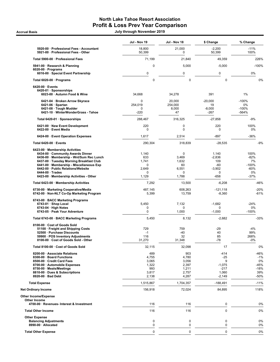# North Lake Tahoe Resort Association Profit & Loss Prev Year Comparison

Accrual Basis July through November 2019

|                                                                                                                                                                                                                                                                                                                   | Jul - Nov 19                                             | Jul - Nov 18                                                      | \$ Change                                                     | % Change                                                  |
|-------------------------------------------------------------------------------------------------------------------------------------------------------------------------------------------------------------------------------------------------------------------------------------------------------------------|----------------------------------------------------------|-------------------------------------------------------------------|---------------------------------------------------------------|-----------------------------------------------------------|
| 5920-00 · Professional Fees - Accountant<br>5921-00 · Professional Fees - Other                                                                                                                                                                                                                                   | 18,800<br>50,399                                         | 21,000<br>0                                                       | $-2,200$<br>50,399                                            | $-11%$<br>100%                                            |
| Total 5900-00 · Professional Fees                                                                                                                                                                                                                                                                                 | 71,199                                                   | 21,840                                                            | 49,359                                                        | 226%                                                      |
| 5941-00 · Research & Planning                                                                                                                                                                                                                                                                                     | 0                                                        | 5,000                                                             | $-5,000$                                                      | $-100%$                                                   |
| $6020-00 \cdot$ Programs<br>6016-00 · Special Event Partnership                                                                                                                                                                                                                                                   | $\mathbf 0$                                              | 0                                                                 | 0                                                             | 0%                                                        |
| Total 6020-00 · Programs                                                                                                                                                                                                                                                                                          | $\mathbf 0$                                              | $\pmb{0}$                                                         | 0                                                             | 0%                                                        |
| $6420-00 \cdot$ Events<br>6420-01 · Sponsorships<br>6023-00 · Autumn Food & Wine                                                                                                                                                                                                                                  | 34,668                                                   | 34,278                                                            | 391                                                           | 1%                                                        |
| 6421-04 · Broken Arrow Skyrace<br>$6421-06 \cdot$ Spartan<br>6421-08 · Tough Mudder<br>6421-10 · WinterWonderGrass - Tahoe                                                                                                                                                                                        | 0<br>254,019<br>0<br>$-220$                              | 20,000<br>254,000<br>8,000<br>47                                  | $-20,000$<br>19<br>$-8,000$<br>-267                           | $-100%$<br>0%<br>$-100%$<br>$-564%$                       |
| Total 6420-01 · Sponsorships                                                                                                                                                                                                                                                                                      | 288,467                                                  | 316,325                                                           | $-27,858$                                                     | $-9%$                                                     |
| 6421-00 · New Event Development<br>6422-00 · Event Media                                                                                                                                                                                                                                                          | 220<br>$\mathbf 0$                                       | $\mathbf 0$<br>0                                                  | 220<br>0                                                      | 100%<br>0%                                                |
| 6424-00 · Event Operation Expenses                                                                                                                                                                                                                                                                                | 1,617                                                    | 2,514                                                             | -897                                                          | $-36%$                                                    |
| Total 6420-00 · Events                                                                                                                                                                                                                                                                                            | 290,304                                                  | 318,839                                                           | $-28,535$                                                     | $-9%$                                                     |
| 6423-00 · Membership Activities<br>6434-00 Community Awards Dinner<br>6436-00 · Membership - Wnt/Sum Rec Lunch<br>6437-00 · Tuesday Morning Breakfast Club<br>6441-00 · Membership - Miscellaneous Exp<br>6442-00 · Public Relations/Website<br>$6444-00 \cdot Trades$<br>6423-00 · Membership Activities - Other | 1,140<br>633<br>1,741<br>0<br>2,649<br>$\Omega$<br>1,129 | $\mathbf 0$<br>3,469<br>1,632<br>60<br>6,551<br>$\Omega$<br>1,788 | 1,140<br>$-2,836$<br>109<br>$-60$<br>$-3,902$<br>0<br>$-658$  | 100%<br>$-82%$<br>7%<br>$-100%$<br>$-60%$<br>0%<br>$-37%$ |
| Total 6423-00 · Membership Activities                                                                                                                                                                                                                                                                             | 7,292                                                    | 13,500                                                            | $-6,208$                                                      | -46%                                                      |
| 6730-00 · Marketing Cooperative/Media<br>6742-00 · Non-NLT Co-Op Marketing Program                                                                                                                                                                                                                                | 487,145<br>5,399                                         | 608,263<br>13,759                                                 | $-121,118$<br>$-8,360$                                        | $-20%$<br>$-61%$                                          |
| 6743-00 · BACC Marketing Programs<br>$6743-01 \cdot$ Shop Local<br>$6743-04 \cdot$ High Notes<br>6743-05 · Peak Your Adventure                                                                                                                                                                                    | 5,450<br>0<br>$\mathbf 0$                                | 7,132<br>0<br>1,000                                               | $-1,682$<br>0<br>$-1,000$                                     | $-24%$<br>0%<br>$-100%$                                   |
| Total 6743-00 · BACC Marketing Programs                                                                                                                                                                                                                                                                           | 5,450                                                    | 8,132                                                             | $-2,682$                                                      | $-33%$                                                    |
| 8100-00 · Cost of Goods Sold<br>51100 · Freight and Shipping Costs<br>52500 · Purchase Discounts<br>59900 · POS Inventory Adjustments<br>8100-00 · Cost of Goods Sold - Other                                                                                                                                     | 729<br>$-1$<br>116<br>31,270                             | 759<br>-40<br>32<br>31,348                                        | $-29$<br>40<br>85<br>$-78$                                    | $-4%$<br>99%<br>268%<br>$-0%$                             |
| Total 8100-00 · Cost of Goods Sold                                                                                                                                                                                                                                                                                | 32,115                                                   | 32,098                                                            | 17                                                            | 0%                                                        |
| 8200-00 · Associate Relations<br>8300-00 · Board Functions<br>8500-00 · Credit Card Fees<br>8700-00 · Automobile Expenses<br>8750-00 · Meals/Meetings<br>8810-00 · Dues & Subscriptions<br>8920-00 · Bad Debt                                                                                                     | 489<br>4,755<br>3,065<br>1,322<br>993<br>3,817<br>2,138  | 903<br>4,780<br>3,056<br>2,397<br>1,211<br>2,757<br>4,287         | -414<br>$-25$<br>9<br>$-1,075$<br>$-217$<br>1,060<br>$-2,149$ | -46%<br>$-1%$<br>0%<br>$-45%$<br>$-18%$<br>39%<br>-50%    |
| <b>Total Expense</b>                                                                                                                                                                                                                                                                                              | 1,515,867                                                | 1,704,357                                                         | $-188,491$                                                    | $-11%$                                                    |
| <b>Net Ordinary Income</b>                                                                                                                                                                                                                                                                                        | 156,918                                                  | 72,024                                                            | 84,895                                                        | 118%                                                      |
| Other Income/Expense<br>Other Income                                                                                                                                                                                                                                                                              |                                                          |                                                                   |                                                               |                                                           |
| 4700-00 · Revenues- Interest & Investment                                                                                                                                                                                                                                                                         | 116                                                      | 116                                                               | $\mathbf 0$                                                   | 0%                                                        |
| <b>Total Other Income</b>                                                                                                                                                                                                                                                                                         | 116                                                      | 116                                                               | 0                                                             | 0%                                                        |
| <b>Other Expense</b><br><b>Balancing Adjustments</b><br>8990-00 · Allocated                                                                                                                                                                                                                                       | 0<br>0                                                   | $\mathbf 0$<br>0                                                  | 0<br>0                                                        | 0%<br>0%                                                  |
| <b>Total Other Expense</b>                                                                                                                                                                                                                                                                                        | 0                                                        | $\pmb{0}$                                                         | 0                                                             | 0%                                                        |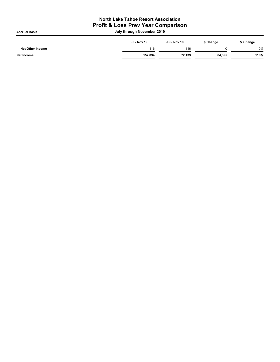## North Lake Tahoe Resort Association Profit & Loss Prev Year Comparison

Accrual Basis July through November 2019

| Jul - Nov 19 | Jul - Nov 18 | \$ Change | % Change |
|--------------|--------------|-----------|----------|
| 116          | 116          |           | 0%       |
| 157,034      | 72,139       | 84,895    | 118%     |
|              |              |           |          |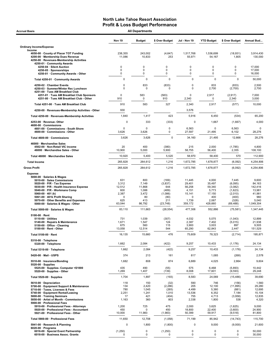| <b>All Departments</b><br><b>Accrual Basis</b>                                                                                                                                                                                                                                                                       |                                                                     |                                                                 |                                                                         |                                                                               |                                                                         |                                                                                  |                                                                             |  |
|----------------------------------------------------------------------------------------------------------------------------------------------------------------------------------------------------------------------------------------------------------------------------------------------------------------------|---------------------------------------------------------------------|-----------------------------------------------------------------|-------------------------------------------------------------------------|-------------------------------------------------------------------------------|-------------------------------------------------------------------------|----------------------------------------------------------------------------------|-----------------------------------------------------------------------------|--|
|                                                                                                                                                                                                                                                                                                                      | <b>Nov 19</b>                                                       | <b>Budget</b>                                                   | \$ Over Budget                                                          | Jul - Nov 19                                                                  | <b>YTD Budget</b>                                                       | \$ Over Budget                                                                   | Annual Bud                                                                  |  |
| <b>Ordinary Income/Expense</b>                                                                                                                                                                                                                                                                                       |                                                                     |                                                                 |                                                                         |                                                                               |                                                                         |                                                                                  |                                                                             |  |
| Income<br>4050-00 County of Placer TOT Funding<br>4200-00 · Membership Dues Revenue<br>4250-00 · Revenues-Membership Activities<br>4250-01 · Community Awards                                                                                                                                                        | 238,355<br>11,086                                                   | 243,002<br>10,833                                               | (4,647)<br>253                                                          | 1,517,768<br>55,971                                                           | 1,536,699<br>54,167                                                     | (18, 931)<br>1,805                                                               | 3,914,430<br>130,000                                                        |  |
| 4250-04 · Silent Auction<br>4250-05 · Sponsorships<br>4250-01 · Community Awards - Other                                                                                                                                                                                                                             | 0<br>0<br>0                                                         | 0<br>0<br>0                                                     | 0<br>0<br>0                                                             | 0<br>0<br>0                                                                   | 0<br>0<br>0                                                             | 0<br>0<br>0                                                                      | 17,000<br>17,000<br>16,000                                                  |  |
| Total 4250-01 · Community Awards                                                                                                                                                                                                                                                                                     | 0                                                                   | $\mathbf 0$                                                     | $\mathbf 0$                                                             | $\mathbf 0$                                                                   | $\mathbf 0$                                                             | $\mathbf 0$                                                                      | 50,000                                                                      |  |
| 4250-02 · Chamber Events<br>4250-03 · Summer/Winter Rec Luncheon                                                                                                                                                                                                                                                     | 0<br>$\mathbf 0$                                                    | 833<br>$\mathbf 0$                                              | (833)<br>0                                                              | 0<br>$\mathbf 0$                                                              | 833<br>2,700                                                            | (833)<br>(2,700)                                                                 | 2,500<br>2,700                                                              |  |
| 4251-00 · Tues AM Breakfast Club<br>4251-01 · Tues AM Breakfast Club Sponsors<br>4251-00 · Tues AM Breakfast Club - Other                                                                                                                                                                                            | $\mathbf 0$<br>910                                                  | 583<br>0                                                        | (583)<br>910                                                            | $\Omega$<br>2,340                                                             | 2,917<br>0                                                              | (2, 917)<br>2,340                                                                | 7,000<br>3,000                                                              |  |
| Total 4251-00 · Tues AM Breakfast Club                                                                                                                                                                                                                                                                               | 910                                                                 | 583                                                             | 327                                                                     | 2,340                                                                         | 2,917                                                                   | (577)                                                                            | 10,000                                                                      |  |
| 4250-00 · Revenues-Membership Activities - Other                                                                                                                                                                                                                                                                     | 930                                                                 |                                                                 |                                                                         | 3,576                                                                         |                                                                         |                                                                                  |                                                                             |  |
| Total 4250-00 · Revenues-Membership Activities                                                                                                                                                                                                                                                                       | 1,840                                                               | 1,417                                                           | 423                                                                     | 5,916                                                                         | 6,450                                                                   | (534)                                                                            | 65,200                                                                      |  |
| 4253-00 · Revenue-Other<br>4600-00 Commissions                                                                                                                                                                                                                                                                       | 0                                                                   | 333                                                             | (333)                                                                   | $\Omega$                                                                      | 1,667                                                                   | (1,667)                                                                          | 4,000                                                                       |  |
| 4601-00 Commissions - South Shore<br>4600-00 · Commissions - Other                                                                                                                                                                                                                                                   | $\mathbf 0$<br>3,626                                                | $\mathbf 0$<br>3,626                                            | 0<br>0                                                                  | 6,563<br>27,597                                                               | $\mathbf 0$<br>21,495                                                   | 6,563<br>6,102                                                                   | 0<br>28,276                                                                 |  |
| Total 4600-00 · Commissions                                                                                                                                                                                                                                                                                          | 3,626                                                               | 3,626                                                           | $\mathbf 0$                                                             | 34,160                                                                        | 21,495                                                                  | 12,666                                                                           | 28,276                                                                      |  |
| 46000 · Merchandise Sales<br>4502-00 · Non-Retail VIC income<br>46000 · Merchandise Sales - Other                                                                                                                                                                                                                    | 20<br>10,900                                                        | 400<br>5,000                                                    | (380)<br>5,900                                                          | 215<br>58,755                                                                 | 2,000<br>56,400                                                         | (1,785)<br>2,355                                                                 | 4,800<br>108.100                                                            |  |
| Total 46000 · Merchandise Sales                                                                                                                                                                                                                                                                                      | 10,920                                                              | 5,400                                                           | 5,520                                                                   | 58,970                                                                        | 58,400                                                                  | 570                                                                              | 112,900                                                                     |  |
| <b>Total Income</b>                                                                                                                                                                                                                                                                                                  | 265,828                                                             | 264,612                                                         | 1,216                                                                   | 1,672,785                                                                     | 1,678,877                                                               | (6,092)                                                                          | 4,254,806                                                                   |  |
| <b>Gross Profit</b>                                                                                                                                                                                                                                                                                                  | 265,828                                                             | 264,612                                                         | 1,216                                                                   | 1,672,785                                                                     | 1,678,877                                                               | (6,092)                                                                          | 4,254,806                                                                   |  |
| 5000-00 · Salaries & Wages<br>5010-00 · Sales Commissions<br>$5020.00 \cdot P/R$ - Tax Expense<br>5030-00 · P/R - Health Insurance Expense<br>5040-00 · P/R - Workmans Comp<br>5060-00 $\cdot$ 401 (k)<br>5061-00 · 401k Profit Sharing<br>5070-00 Other Benefits and Expenses<br>5000-00 · Salaries & Wages - Other | 631<br>3,312<br>12,512<br>600<br>2,387<br>$\Omega$<br>625<br>63,044 | 800<br>7,149<br>11,868<br>1,088<br>3,472<br>80<br>413<br>86,792 | (169)<br>(3,837)<br>644<br>(489)<br>(1,086)<br>(80)<br>211<br>(23, 748) | 11,445<br>29,401<br>56,258<br>4,151<br>15,141<br>$\Omega$<br>1,739<br>359,172 | 4,000<br>35,497<br>59,340<br>5,773<br>17,150<br>400<br>2,067<br>428,660 | 7,445<br>(6,095)<br>(3,082)<br>(1,623)<br>(2,010)<br>(400)<br>(328)<br>(69, 488) | 9,600<br>84,163<br>142,416<br>13,981<br>41,981<br>960<br>5,040<br>1,049,304 |  |
| Total 5000-00 · Salaries & Wages                                                                                                                                                                                                                                                                                     | 83,110                                                              | 111,663                                                         | (28, 554)                                                               | 477,306                                                                       | 552,886                                                                 | (75, 581)                                                                        | 1,347,445                                                                   |  |
| $5100-00 \cdot$ Rent<br>$5110-00 \cdot$ Utilities<br>5140-00 · Repairs & Maintenance<br>5150-00 · Office - Cleaning<br>5100-00 · Rent - Other                                                                                                                                                                        | 731<br>1,671<br>675<br>13,058                                       | 1,039<br>1,547<br>560<br>12,514                                 | (307)<br>124<br>115<br>544                                              | 4,032<br>2,387<br>3,900<br>65,290                                             | 5,075<br>7,402<br>3,003<br>62,843                                       | (1,043)<br>(5,015)<br>897<br>2,447                                               | 12,899<br>21,938<br>9,505<br>151,529                                        |  |
| Total 5100-00 · Rent                                                                                                                                                                                                                                                                                                 | 16,135                                                              | 15,660                                                          | 476                                                                     | 75,609                                                                        | 78,323                                                                  | (2,714)                                                                          | 195,871                                                                     |  |
| 5310-00 · Telephone<br>5320-00 · Telephone                                                                                                                                                                                                                                                                           | 1,662                                                               | 2,084                                                           | (422)                                                                   | 9,257                                                                         | 10,433                                                                  | (1, 176)                                                                         | 24,134                                                                      |  |
| Total 5310-00 · Telephone                                                                                                                                                                                                                                                                                            | 1,662                                                               | 2,084                                                           | (422)                                                                   | 9,257                                                                         | 10,433                                                                  | (1, 176)                                                                         | 24,134                                                                      |  |
| 5420-00 · Mail - USPS                                                                                                                                                                                                                                                                                                | 374                                                                 | 213                                                             | 161                                                                     | 817                                                                           | 1,085                                                                   | (268)                                                                            | 2,578                                                                       |  |
| 5510-00 · Insurance/Bonding<br>$5520-00 \cdot$ Supplies<br>5525-00 · Supplies- Computer <\$1000                                                                                                                                                                                                                      | 1,682<br>435                                                        | 808<br>490                                                      | 874<br>(55)                                                             | 6,889<br>575                                                                  | 4,025<br>6,468                                                          | 2,864<br>(5,893)                                                                 | 9,604<br>10,442                                                             |  |
| 5520-00 · Supplies - Other                                                                                                                                                                                                                                                                                           | 1,269                                                               | 1,407                                                           | (139)                                                                   | 8,008                                                                         | 17,601                                                                  | (9, 593)                                                                         | 29,248                                                                      |  |
| Total 5520-00 · Supplies<br>5610-00 · Depreciation                                                                                                                                                                                                                                                                   | 1,704<br>118                                                        | 1,897                                                           | (193)                                                                   | 8,583<br>590                                                                  | 24,069<br>746                                                           | (15, 486)                                                                        | 39,690<br>1,560                                                             |  |
| 5700-00 · Equipment Support & Maintenance<br>5710-00 · Taxes, Licenses & Fees<br>5740-00 · Equipment Rental/Leasing<br>5800-00 · Training Seminars<br>5850-00 · Artist of Month - Commissions<br>5900-00 · Professional Fees<br>5910-00 · Professional Fees - Attorneys                                              | 134<br>780<br>2,251<br>17<br>1,163<br>1,200                         | 150<br>2,420<br>1,045<br>1,241<br>421<br>360<br>725             | (32)<br>(2, 286)<br>(265)<br>1,010<br>(404)<br>803<br>475               | 205<br>4,499<br>13,536<br>755<br>2,338<br>2,000                               | 12,100<br>5,380<br>6,352<br>4,713<br>1,800<br>3,625                     | (156)<br>(11, 895)<br>(881)<br>7,184<br>(3,958)<br>538<br>(1,625)                | 29,280<br>12,695<br>15,104<br>12,835<br>4,320<br>9,000                      |  |
| 5920-00 · Professional Fees - Accountant<br>5921-00 · Professional Fees - Other                                                                                                                                                                                                                                      | 450<br>10,000                                                       | 0<br>11,983                                                     | 450<br>(1,983)                                                          | 18,800<br>50,399                                                              | 22,400<br>59,917                                                        | (3,600)<br>(9, 518)                                                              | 24,900<br>81,800                                                            |  |
| Total 5900-00 · Professional Fees                                                                                                                                                                                                                                                                                    | 11,650                                                              | 12,708                                                          | (1,058)                                                                 | 71,199                                                                        | 85,942                                                                  | (14, 743)                                                                        | 115,700                                                                     |  |
| 5941-00 · Research & Planning                                                                                                                                                                                                                                                                                        | 0                                                                   | 1,800                                                           | (1,800)                                                                 | 0                                                                             | 9,000                                                                   | (9,000)                                                                          | 21,600                                                                      |  |
| $6020-00 \cdot$ Programs<br>6016-00 · Special Event Partnership<br>6018-00 · Business Assoc. Grants                                                                                                                                                                                                                  | (1, 250)                                                            | 0<br>$\mathbf 0$                                                | (1,250)<br>0                                                            | 0<br>$\mathbf 0$                                                              | 0<br>$\mathbf 0$                                                        | 0<br>0                                                                           | 50,000<br>30,000                                                            |  |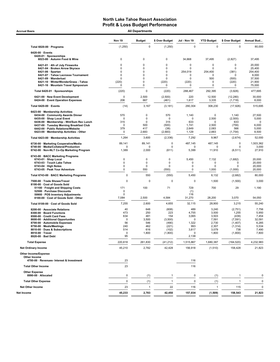Accrual Basis **Accrual Basis All Departments** 

|                                                                                    | <b>Nov 19</b>      | Budget                     | \$ Over Budget     | Jul - Nov 19         | <b>YTD Budget</b>  | \$ Over Budget          | Annual Bud        |
|------------------------------------------------------------------------------------|--------------------|----------------------------|--------------------|----------------------|--------------------|-------------------------|-------------------|
| Total 6020-00 · Programs                                                           | (1, 250)           | $\mathbf 0$                | (1, 250)           | $\mathbf 0$          | $\mathbf 0$        | $\mathbf 0$             | 80,000            |
| 6420-00 · Events<br>6420-01 · Sponsorships                                         |                    |                            |                    |                      |                    |                         |                   |
| 6023-00 · Autumn Food & Wine                                                       | 0                  | 0                          | 0                  | 34,668               | 37,495             | (2,827)                 | 37,495            |
| 6421-01 · 4th of July Fireworks                                                    | 0                  | $\mathbf 0$                | 0                  | 0                    | 0                  | $\Omega$                | 20,000            |
| 6421-04 · Broken Arrow Skyrace<br>$6421-06 \cdot$ Spartan                          | 0<br>0             | 0<br>$\mathbf 0$           | 0<br>0             | 0<br>254,019         | 0<br>254,400       | $\mathbf 0$<br>(381)    | 25,400<br>254,400 |
| 6421-07 · Tahoe Lacrosse Tournament                                                | 0                  | $\mathbf 0$                | 0                  | 0                    | <sup>0</sup>       | $\Omega$                | 6,000             |
| 6421-09 · Wanderlust<br>6421-10 · WinterWonderGrass - Tahoe                        | 0<br>(220)         | $\mathbf 0$<br>$\mathbf 0$ | 0<br>(220)         | 0<br>(220)           | 500<br>0           | (500)<br>(220)          | 37,500<br>21,900  |
| 6421-16 · Mountain Travel Symposium                                                | 0                  | $\mathbf 0$                | 0                  | 0                    | 0                  | $\mathbf 0$             | 75,000            |
| Total 6420-01 · Sponsorships                                                       | (220)              | $\mathbf 0$                | (220)              | 288,467              | 292,395            | (3,928)                 | 477,695           |
| 6421-00 · New Event Development<br>6424-00 · Event Operation Expenses              | $\mathbf 0$<br>206 | 2,500<br>667               | (2,500)<br>(461)   | 220<br>1,617         | 12,500<br>3,335    | (12, 280)<br>(1,718)    | 30,000<br>8,000   |
| Total 6420-00 · Events                                                             | (14)               | 3,167                      | (3, 181)           | 290,304              | 308,230            | (17, 926)               | 515,695           |
| 6423-00 · Membership Activities                                                    |                    |                            |                    |                      |                    |                         |                   |
| 6434-00 Community Awards Dinner<br>6435-00 · Shop Local Event                      | 570<br>$\mathbf 0$ | 0<br>$\mathbf 0$           | 570<br>$\mathbf 0$ | 1,140<br>$\mathbf 0$ | 0<br>2,500         | 1,140<br>(2,500)        | 27,500<br>5,000   |
| 6436-00 · Membership - Wnt/Sum Rec Lunch                                           | 315                | 0                          | 315                | 633                  | 0                  | 633                     | 0                 |
| 6437-00 · Tuesday Morning Breakfast Club<br>6442-00 · Public Relations/Website     | $\mathbf 0$<br>379 | 500<br>417                 | (500)<br>(38)      | 1,741<br>2,649       | 2,500<br>2,083     | (759)<br>566            | 6,000<br>5,000    |
| 6423-00 · Membership Activities - Other                                            | 0                  | 2,683                      | (2,683)            | 1,129                | 2,883              | (1,754)                 | 8,500             |
| Total 6423-00 · Membership Activities                                              | 1,264              | 3,600                      | (2, 336)           | 7,292                | 9,967              | (2,674)                 | 52,000            |
| 6730-00 · Marketing Cooperative/Media                                              | 89.141             | 89,141                     | 0                  | 487.145              | 487,145            | $\mathbf 0$             | 1,503,362         |
| 6740-00 · Media/Collateral/Production<br>6742-00 · Non-NLT Co-Op Marketing Program | 0<br>1,389         | $\Omega$<br>2,000          | 0<br>(611)         | 0<br>5,399           | $\Omega$<br>11,910 | $\mathbf 0$<br>(6, 511) | 3,000<br>27,910   |
| 6743-00 · BACC Marketing Programs                                                  | 0                  | 0                          | 0                  | 5,450                | 7,132              | (1,682)                 | 20,000            |
| 6743-01 · Shop Local<br>6743-03 · Touch Lake Tahoe                                 | 0                  | $\mathbf 0$                | 0                  | 0                    | 0                  | $\Omega$                | 20,000            |
| $6743-04 \cdot$ High Notes                                                         | 0                  | $\mathbf 0$                | $\mathbf 0$        | $\mathbf 0$          | 0                  | $\Omega$                | 20,000            |
| 6743-05 · Peak Your Adventure                                                      | 0                  | 550                        | (550)              | $\mathbf 0$          | 1,000              | (1,000)                 | 20,000            |
| Total 6743-00 · BACC Marketing Programs                                            | 0                  | 550                        | (550)              | 5,450                | 8,132              | (2,682)                 | 80,000            |
| 7500-00 · Trade Shows/Travel<br>8100-00 Cost of Goods Sold                         | 0                  | $\Omega$                   | $\mathbf 0$        | 0                    | 1,500              | (1,500)                 | 3,000             |
| 51100 · Freight and Shipping Costs<br>52500 · Purchase Discounts                   | 171<br>$\mathbf 0$ | 100                        | 71                 | 729<br>(1)           | 700                | 29                      | 1,190             |
| 59900 · POS Inventory Adjustments                                                  | $\mathbf 0$        |                            |                    | 116                  |                    |                         |                   |
| 8100-00 · Cost of Goods Sold - Other                                               | 7,084              | 2,500                      | 4,584              | 31,270               | 28,200             | 3,070                   | 54,050            |
| Total 8100-00 · Cost of Goods Sold                                                 | 7,255              | 2,600                      | 4,655              | 32,115               | 28,900             | 3,215                   | 55,240            |
| 8200-00 · Associate Relations<br>8300-00 · Board Functions                         | 40<br>473          | 648<br>250                 | (608)<br>223       | 489<br>4,755         | 3,240<br>3,500     | (2,751)<br>1,255        | 7,756<br>5,950    |
| 8500-00 · Credit Card Fees                                                         | 634                | 481                        | 154                | 3,065                | 3,503              | (439)                   | 7,454             |
| 8600-00 · Additional Opportunites<br>8700-00 · Automobile Expenses                 | $\mathbf 0$<br>56  | 3,500<br>546               | (3,500)<br>(490)   | 0<br>1,322           | 7,591<br>2,730     | (7, 591)                | 32,091<br>6,285   |
| 8750-00 · Meals/Meetings                                                           | 240                | 462                        | (221)              | 993                  | 2,307              | (1,407)<br>(1, 314)     | 5,534             |
| 8810-00 · Dues & Subscriptions                                                     | 514                | 616                        | (102)              | 3,817                | 3,079              | 738                     | 7,490             |
| 8910-00 · Travel<br>8920-00 · Bad Debt                                             | 0<br>95            | 1,800                      | (1,800)            | $\Omega$<br>2,138    | 1,800              | (1,800)                 | 7,800             |
| <b>Total Expense</b>                                                               | 220,618            | 261,830                    | (41, 212)          | 1,515,867            | 1,680,387          | (164, 520)              | 4,232,983         |
| <b>Net Ordinary Income</b>                                                         | 45,210             | 2,782                      | 42,428             | 156,918              | (1,510)            | 158,428                 | 21,823            |
| <b>Other Income/Expense</b><br>Other Income                                        |                    |                            |                    |                      |                    |                         |                   |
| 4700-00 · Revenues- Interest & Investment                                          | 23                 |                            |                    | 116                  |                    |                         |                   |
| <b>Total Other Income</b>                                                          | 23                 |                            |                    | 116                  |                    |                         |                   |
| <b>Other Expense</b><br>8990-00 · Allocated                                        | 0                  | (1)                        | $\overline{1}$     | 0                    | (1)                | $\overline{1}$          | 0                 |
| <b>Total Other Expense</b>                                                         | 0                  | (1)                        | $\overline{1}$     | $\mathbf 0$          | (1)                | $\overline{1}$          | 0                 |
| <b>Net Other Income</b>                                                            | 23                 | $\mathbf{1}$               | 22                 | 116                  | $\mathbf{1}$       | 115                     | 0                 |
| Net Income                                                                         | 45,233             | 2,783                      | 42,450             | 157,034              | (1, 509)           | 158,543                 | 21,823            |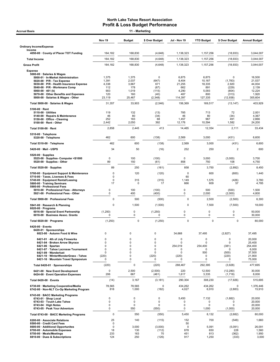|                                                                                                                                                                                                                                                                                                | Nov 19                                                 | <b>Budget</b>                                                                 | \$ Over Budget                                                              | Jul - Nov 19                                               | <b>YTD Budget</b>                                           | \$ Over Budget                                                       | <b>Annual Budget</b>                                               |
|------------------------------------------------------------------------------------------------------------------------------------------------------------------------------------------------------------------------------------------------------------------------------------------------|--------------------------------------------------------|-------------------------------------------------------------------------------|-----------------------------------------------------------------------------|------------------------------------------------------------|-------------------------------------------------------------|----------------------------------------------------------------------|--------------------------------------------------------------------|
| <b>Ordinary Income/Expense</b>                                                                                                                                                                                                                                                                 |                                                        |                                                                               |                                                                             |                                                            |                                                             |                                                                      |                                                                    |
| Income<br>4050-00 · County of Placer TOT Funding                                                                                                                                                                                                                                               | 164,182                                                | 168,830                                                                       | (4,648)                                                                     | 1,138,323                                                  | 1,157,256                                                   | (18, 933)                                                            | 3,044,007                                                          |
| <b>Total Income</b>                                                                                                                                                                                                                                                                            | 164,182                                                | 168,830                                                                       | (4, 648)                                                                    | 1,138,323                                                  | 1,157,256                                                   | (18, 933)                                                            | 3,044,007                                                          |
| <b>Gross Profit</b>                                                                                                                                                                                                                                                                            | 164,182                                                | 168,830                                                                       | (4,648)                                                                     | 1,138,323                                                  | 1,157,256                                                   | (18,933)                                                             | 3,044,007                                                          |
| <b>Expense</b>                                                                                                                                                                                                                                                                                 |                                                        |                                                                               |                                                                             |                                                            |                                                             |                                                                      |                                                                    |
| 5000-00 · Salaries & Wages<br>5000-01 · In-Market Administration<br>$5020-00 \cdot P/R$ - Tax Expense<br>5030-00 · P/R - Health Insurance Expense<br>5040-00 · P/R - Workmans Comp<br>$5060 - 00 \cdot 401$ (k)<br>5070-00 · Other Benefits and Expenses<br>5000-00 · Salaries & Wages - Other | 1,375<br>1,391<br>4,338<br>112<br>903<br>120<br>23,119 | 1,375<br>2,037<br>3,667<br>178<br>1,019<br>160<br>25,467                      | 0<br>(647)<br>671<br>(67)<br>(115)<br>(40)<br>(2,348)                       | 6,875<br>8,404<br>21,255<br>662<br>4,290<br>487<br>114,397 | 6,875<br>10,187<br>18,335<br>891<br>5,093<br>800<br>127,335 | $\pmb{0}$<br>(1,783)<br>2,920<br>(229)<br>(804)<br>(313)<br>(12,938) | 16,500<br>21,537<br>44,004<br>2,139<br>12,224<br>1,920<br>305,604  |
| Total 5000-00 · Salaries & Wages                                                                                                                                                                                                                                                               | 31,357                                                 | 33,903                                                                        | (2, 546)                                                                    | 156,369                                                    | 169,517                                                     | (13, 147)                                                            | 403,929                                                            |
| $5100-00 \cdot$ Rent<br>$5110-00 \cdot$ Utilities<br>5140-00 · Repairs & Maintenance<br>5150-00 · Office - Cleaning<br>5100-00 · Rent - Other                                                                                                                                                  | 119<br>46<br>252<br>2,442                              | 132<br>80<br>183<br>2,050                                                     | (13)<br>(34)<br>68<br>392                                                   | 785<br>46<br>1,457<br>12,176                               | 713<br>80<br>967<br>10,594                                  | 72<br>(34)<br>491<br>1,582                                           | 2,001<br>4,367<br>2,866<br>24,200                                  |
| Total 5100-00 · Rent                                                                                                                                                                                                                                                                           | 2,858                                                  | 2,445                                                                         | 413                                                                         | 14,465                                                     | 12,354                                                      | 2,111                                                                | 33,434                                                             |
| 5310-00 · Telephone<br>5320-00 · Telephone                                                                                                                                                                                                                                                     | 462                                                    | 600                                                                           | (138)                                                                       | 2,569                                                      | 3,000                                                       | (431)                                                                | 6,600                                                              |
| Total 5310-00 · Telephone                                                                                                                                                                                                                                                                      | 462                                                    | 600                                                                           | (138)                                                                       | 2,569                                                      | 3,000                                                       | (431)                                                                | 6,600                                                              |
| 5420-00 · Mail - USPS                                                                                                                                                                                                                                                                          | 34                                                     | 50                                                                            | (16)                                                                        | 252                                                        | 250                                                         | $\overline{2}$                                                       | 600                                                                |
| $5520-00 \cdot$ Supplies<br>5525-00 · Supplies- Computer <\$1000<br>5520-00 · Supplies - Other                                                                                                                                                                                                 | $\pmb{0}$<br>89                                        | 100<br>150                                                                    | (100)<br>(61)                                                               | 0<br>858                                                   | 3,000<br>750                                                | (3,000)<br>108                                                       | 3,700<br>4,750                                                     |
| Total 5520-00 · Supplies                                                                                                                                                                                                                                                                       | 89                                                     | 250                                                                           | (161)                                                                       | 858                                                        | 3,750                                                       | (2,892)                                                              | 8,450                                                              |
| 5700-00 · Equipment Support & Maintenance                                                                                                                                                                                                                                                      | 0                                                      | 120                                                                           | (120)                                                                       | 0                                                          | 600                                                         | (600)                                                                | 1,440                                                              |
| 5710-00 · Taxes, Licenses & Fees<br>5740-00 · Equipment Rental/Leasing<br>5800-00 · Training Seminars                                                                                                                                                                                          | 0<br>$\mathbf 0$<br>17                                 | 315<br>0                                                                      | (315)<br>17                                                                 | 60<br>1,149<br>666                                         | 1,575<br>609                                                | (426)<br>57                                                          | 3,780<br>4,785                                                     |
| 5900-00 · Professional Fees<br>5910-00 · Professional Fees - Attorneys<br>5921-00 · Professional Fees - Other                                                                                                                                                                                  | 0<br>0                                                 | 100<br>400                                                                    | (100)<br>(400)                                                              | 0<br>0                                                     | 500<br>2,000                                                | (500)<br>(2,000)                                                     | 1,500<br>4,800                                                     |
| Total 5900-00 · Professional Fees                                                                                                                                                                                                                                                              | $\Omega$                                               | 500                                                                           | (500)                                                                       | $\mathbf 0$                                                | 2,500                                                       | (2,500)                                                              | 6,300                                                              |
| 5941-00 · Research & Planning                                                                                                                                                                                                                                                                  | $\mathbf 0$                                            | 1,500                                                                         | (1,500)                                                                     | 0                                                          | 7,500                                                       | (7,500)                                                              | 18,000                                                             |
| $6020-00 \cdot$ Programs<br>6016-00 · Special Event Partnership<br>6018-00 · Business Assoc. Grants                                                                                                                                                                                            | (1, 250)<br>0                                          | 0<br>$\pmb{0}$                                                                | (1,250)<br>0                                                                | 0<br>0                                                     | 0<br>$\mathbf 0$                                            | $\pmb{0}$<br>0                                                       | 50,000<br>30,000                                                   |
| Total 6020-00 · Programs                                                                                                                                                                                                                                                                       | (1, 250)                                               | $\pmb{0}$                                                                     | (1, 250)                                                                    | $\pmb{0}$                                                  | 0                                                           | $\mathbf 0$                                                          | 80,000                                                             |
| $6420-00 \cdot$ Events<br>6420-01 · Sponsorships<br>6023-00 · Autumn Food & Wine                                                                                                                                                                                                               | 0                                                      | $\pmb{0}$                                                                     | 0                                                                           | 34,668                                                     | 37,495                                                      | (2,827)                                                              | 37,495                                                             |
| 6421-01 · 4th of July Fireworks<br>6421-04 · Broken Arrow Skyrace<br>$6421-06 \cdot$ Spartan<br>6421-07 · Tahoe Lacrosse Tournament<br>6421-09 Wanderlust<br>6421-10 · WinterWonderGrass - Tahoe<br>6421-16 · Mountain Travel Symposium                                                        | 0<br>0<br>0<br>0<br>0<br>(220)<br>0                    | 0<br>$\mathbf 0$<br>0<br>$\mathbf 0$<br>$\mathbf 0$<br>$\pmb{0}$<br>$\pmb{0}$ | 0<br>$\mathbf 0$<br>$\mathbf 0$<br>$\mathbf 0$<br>$\mathbf 0$<br>(220)<br>0 | 0<br>0<br>254,019<br>0<br>0<br>(220)<br>0                  | 0<br>0<br>254,400<br>0<br>500<br>0<br>0                     | 0<br>0<br>(381)<br>0<br>(500)<br>(220)<br>0                          | 20,000<br>25,400<br>254,400<br>6,000<br>37,500<br>21,900<br>75,000 |
| Total 6420-01 · Sponsorships                                                                                                                                                                                                                                                                   | (220)                                                  | 0                                                                             | (220)                                                                       | 288,467                                                    | 292,395                                                     | (3,928)                                                              | 477,695                                                            |
| 6421-00 · New Event Development<br>6424-00 · Event Operation Expenses                                                                                                                                                                                                                          | 0<br>206                                               | 2,500<br>667                                                                  | (2,500)<br>(461)                                                            | 220<br>1,617                                               | 12,500<br>3,335                                             | (12, 280)<br>(1,718)                                                 | 30,000<br>8,000                                                    |
| Total 6420-00 · Events                                                                                                                                                                                                                                                                         | (14)                                                   | 3,167                                                                         | (3, 181)                                                                    | 290,304                                                    | 308,230                                                     | (17, 926)                                                            | 515,695                                                            |
| 6730-00 · Marketing Cooperative/Media<br>6742-00 · Non-NLT Co-Op Marketing Program                                                                                                                                                                                                             | 78,565<br>818                                          | 78,565<br>1,000                                                               | 0<br>(182)                                                                  | 434,262<br>4,027                                           | 434,262<br>6,910                                            | 0<br>(2,883)                                                         | 1,376,446<br>15,910                                                |
| 6743-00 · BACC Marketing Programs<br>6743-01 · Shop Local<br>6743-03 · Touch Lake Tahoe<br>$6743-04 \cdot$ High Notes<br>6743-05 · Peak Your Adventure                                                                                                                                         | 0<br>0<br>0<br>0                                       | 0<br>$\mathbf 0$<br>$\pmb{0}$<br>550                                          | 0<br>0<br>0<br>(550)                                                        | 5,450<br>0<br>0<br>0                                       | 7,132<br>0<br>0<br>1,000                                    | (1,682)<br>0<br>0<br>(1,000)                                         | 20,000<br>20,000<br>20,000<br>20,000                               |
| Total 6743-00 · BACC Marketing Programs                                                                                                                                                                                                                                                        | $\mathbf 0$                                            | 550                                                                           | (550)                                                                       | 5,450                                                      | 8,132                                                       | (2,682)                                                              | 80,000                                                             |
| 8200-00 · Associate Relations<br>8500-00 · Credit Card Fees<br>8600-00 · Additional Opportunites                                                                                                                                                                                               | 25<br>$\mathbf 0$<br>0                                 | 140<br>3,000                                                                  | (115)<br>(3,000)                                                            | 152<br>50<br>$\mathbf 0$                                   | 700<br>5,091                                                | (548)<br>(5,091)                                                     | 1,660<br>26,091                                                    |
| 8700-00 · Automobile Expenses<br>8750-00 · Meals/Meetings<br>8810-00 · Dues & Subscriptions                                                                                                                                                                                                    | 18<br>233<br>124                                       | 130<br>163<br>250                                                             | (112)<br>70<br>(126)                                                        | 878<br>451<br>917                                          | 650<br>813<br>1,250                                         | 228<br>(362)<br>(333)                                                | 1,560<br>1,950<br>3,000                                            |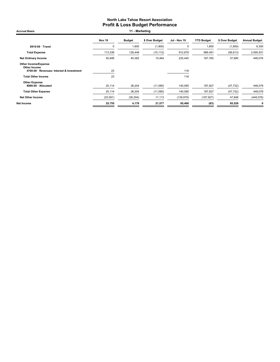Accrual Basis **11 - Marketing** 

|                                                                                          | Nov 19   | <b>Budget</b> | \$ Over Budget | Jul - Nov 19 | <b>YTD Budget</b> | \$ Over Budget | <b>Annual Budget</b> |
|------------------------------------------------------------------------------------------|----------|---------------|----------------|--------------|-------------------|----------------|----------------------|
| 8910-00 · Travel                                                                         | 0        | 1,800         | (1,800)        | $\mathbf 0$  | 1,800             | (1,800)        | 6,300                |
| <b>Total Expense</b>                                                                     | 113,336  | 128,448       | (15, 112)      | 912,878      | 969,491           | (56, 613)      | 2,595,931            |
| <b>Net Ordinary Income</b>                                                               | 50,846   | 40,382        | 10,464         | 225,445      | 187,765           | 37,680         | 448,076              |
| <b>Other Income/Expense</b><br>Other Income<br>4700-00 · Revenues- Interest & Investment | 23       |               |                | 116          |                   |                |                      |
| <b>Total Other Income</b>                                                                | 23       |               |                | 116          |                   |                |                      |
| <b>Other Expense</b><br>8990-00 · Allocated                                              | 25,114   | 36,204        | (11,090)       | 140,095      | 187,827           | (47, 732)      | 448,076              |
| <b>Total Other Expense</b>                                                               | 25,114   | 36,204        | (11,090)       | 140,095      | 187,827           | (47, 732)      | 448,076              |
| <b>Net Other Income</b>                                                                  | (25,091) | (36, 204)     | 11,113         | (139, 979)   | (187, 827)        | 47,848         | (448, 076)           |
| Net Income                                                                               | 25,755   | 4,178         | 21,577         | 85,466       | (63)              | 85,529         | 0                    |
|                                                                                          |          |               |                |              |                   |                |                      |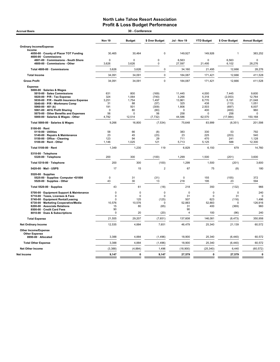| 30 - Conference<br><b>Accrual Basis</b>                                                                                                                                                                                                                       |                                                                          |                                             |                                                                  |                                                                  |                                                           |                                                  |                                                   |  |
|---------------------------------------------------------------------------------------------------------------------------------------------------------------------------------------------------------------------------------------------------------------|--------------------------------------------------------------------------|---------------------------------------------|------------------------------------------------------------------|------------------------------------------------------------------|-----------------------------------------------------------|--------------------------------------------------|---------------------------------------------------|--|
|                                                                                                                                                                                                                                                               | <b>Nov 19</b>                                                            | <b>Budget</b>                               | \$ Over Budget                                                   | Jul - Nov 19                                                     | <b>YTD Budget</b>                                         | \$ Over Budget                                   | <b>Annual Budget</b>                              |  |
| <b>Ordinary Income/Expense</b>                                                                                                                                                                                                                                |                                                                          |                                             |                                                                  |                                                                  |                                                           |                                                  |                                                   |  |
| Income<br>4050-00 · County of Placer TOT Funding<br>4600-00 · Commissions                                                                                                                                                                                     | 30,465                                                                   | 30,464                                      | $\pmb{0}$                                                        | 149,927                                                          | 149,926                                                   | $\mathbf{1}$                                     | 383,252                                           |  |
| 4601-00 · Commissions - South Shore<br>4600-00 · Commissions - Other                                                                                                                                                                                          | $\Omega$<br>3,626                                                        | $\mathbf 0$<br>3,626                        | $\mathbf 0$<br>$\mathbf 0$                                       | 6,563<br>27,597                                                  | 0<br>21,495                                               | 6,563<br>6,102                                   | 0<br>28,276                                       |  |
| Total 4600-00 · Commissions                                                                                                                                                                                                                                   | 3,626                                                                    | 3,626                                       | $\mathbf 0$                                                      | 34,160                                                           | 21,495                                                    | 12,666                                           | 28,276                                            |  |
| <b>Total Income</b>                                                                                                                                                                                                                                           | 34,091                                                                   | 34,091                                      | $\pmb{0}$                                                        | 184,087                                                          | 171,421                                                   | 12,666                                           | 411,528                                           |  |
| <b>Gross Profit</b>                                                                                                                                                                                                                                           | 34,091                                                                   | 34,091                                      | $\Omega$                                                         | 184,087                                                          | 171,421                                                   | 12,666                                           | 411,528                                           |  |
| <b>Expense</b><br>5000-00 · Salaries & Wages<br>5010-00 · Sales Commissions<br>5020-00 · P/R - Tax Expense<br>5030-00 · P/R - Health Insurance Expense                                                                                                        | 631<br>324<br>3,251                                                      | 800<br>1,064<br>1,754                       | (169)<br>(740)<br>1,497                                          | 11,445<br>3,266<br>13,961                                        | 4,000<br>5,318<br>8,770                                   | 7,445<br>(2,053)<br>5,191                        | 9,600<br>12.764<br>21,048                         |  |
| 5040-00 · P/R - Workmans Comp<br>5060-00 $\cdot$ 401 (k)<br>5061-00 · 401k Profit Sharing<br>5070-00 Other Benefits and Expenses<br>5000-00 · Salaries & Wages - Other                                                                                        | 31<br>191<br>$\mathbf 0$<br>56<br>4,782                                  | 88<br>501<br>80<br>$\mathbf 0$<br>12,514    | (57)<br>(309)<br>(80)<br>56<br>(7, 732)                          | 325<br>1,806<br>$\mathbf 0$<br>258<br>44,586                     | 438<br>2,503<br>400<br>0<br>62,570                        | (113)<br>(697)<br>(400)<br>258<br>(17, 984)      | 1,051<br>6,007<br>960<br>0<br>150,168             |  |
| Total 5000-00 · Salaries & Wages                                                                                                                                                                                                                              | 9,266                                                                    | 16,800                                      | (7,534)                                                          | 75,648                                                           | 83,999                                                    | (8, 351)                                         | 201,598                                           |  |
| 5100-00 · Rent<br>5110-00 · Utilities<br>5140-00 · Repairs & Maintenance<br>5150-00 · Office - Cleaning<br>5100-00 · Rent - Other                                                                                                                             | 58<br>23<br>123<br>1,146                                                 | 66<br>45<br>94<br>1,025                     | (8)<br>(23)<br>29<br>121                                         | 383<br>23<br>711<br>5,713                                        | 330<br>225<br>470<br>5,125                                | 53<br>(203)<br>241<br>588                        | 792<br>540<br>1,128<br>12,300                     |  |
| Total 5100-00 · Rent                                                                                                                                                                                                                                          | 1,349                                                                    | 1,230                                       | 119                                                              | 6,829                                                            | 6,150                                                     | 679                                              | 14,760                                            |  |
| 5310-00 · Telephone<br>5320-00 · Telephone                                                                                                                                                                                                                    | 200                                                                      | 300                                         | (100)                                                            | 1,299                                                            | 1,500                                                     | (201)                                            | 3,600                                             |  |
| Total 5310-00 · Telephone                                                                                                                                                                                                                                     | 200                                                                      | 300                                         | (100)                                                            | 1,299                                                            | 1,500                                                     | (201)                                            | 3,600                                             |  |
| 5420-00 · Mail - USPS                                                                                                                                                                                                                                         | 17                                                                       | 15                                          | $\overline{2}$                                                   | 67                                                               | 75                                                        | (8)                                              | 180                                               |  |
| $5520-00 \cdot$ Supplies<br>5525-00 · Supplies- Computer <\$1000<br>5520-00 · Supplies - Other                                                                                                                                                                | $\mathbf 0$<br>43                                                        | 31<br>30                                    | (31)<br>13                                                       | $\mathbf 0$<br>218                                               | 155<br>195                                                | (155)<br>23                                      | 372<br>594                                        |  |
| Total 5520-00 · Supplies                                                                                                                                                                                                                                      | 43                                                                       | 61                                          | (18)                                                             | 218                                                              | 350                                                       | (132)                                            | 966                                               |  |
| 5700-00 · Equipment Support & Maintenance<br>5710-00 · Taxes, Licenses & Fees<br>5740-00 · Equipment Rental/Leasing<br>6730-00 · Marketing Cooperative/Media<br>8200-00 · Associate Relations<br>8500-00 · Credit Card Fees<br>8810-00 · Dues & Subscriptions | $\mathbf 0$<br>$\Omega$<br>$\Omega$<br>10,576<br>15<br>90<br>$\mathbf 0$ | $\pmb{0}$<br>0<br>125<br>10.576<br>80<br>20 | $\mathbf 0$<br>$\Omega$<br>(125)<br><sup>0</sup><br>(65)<br>(20) | $\mathbf 0$<br>31<br>507<br>52,883<br>31<br>90<br>$\overline{4}$ | $\mathbf 0$<br>$\mathbf 0$<br>623<br>52.883<br>400<br>100 | $\mathbf 0$<br>31<br>(116)<br>0<br>(369)<br>(96) | 240<br>$\Omega$<br>1.496<br>126,916<br>960<br>240 |  |
| <b>Total Expense</b>                                                                                                                                                                                                                                          | 21,555                                                                   | 29,207                                      | (7,651)                                                          | 137,608                                                          | 146,081                                                   | (8, 473)                                         | 350,956                                           |  |
| <b>Net Ordinary Income</b>                                                                                                                                                                                                                                    | 12,535                                                                   | 4,884                                       | 7,651                                                            | 46,479                                                           | 25,340                                                    | 21,139                                           | 60,572                                            |  |
| Other Income/Expense<br><b>Other Expense</b>                                                                                                                                                                                                                  |                                                                          |                                             |                                                                  |                                                                  |                                                           |                                                  |                                                   |  |
| 8990-00 · Allocated                                                                                                                                                                                                                                           | 3,388                                                                    | 4,884                                       | (1, 496)                                                         | 18,900                                                           | 25,340                                                    | (6, 440)                                         | 60,572                                            |  |
| <b>Total Other Expense</b>                                                                                                                                                                                                                                    | 3,388                                                                    | 4,884                                       | (1, 496)                                                         | 18,900                                                           | 25,340                                                    | (6, 440)                                         | 60,572                                            |  |
| <b>Net Other Income</b>                                                                                                                                                                                                                                       | (3, 388)                                                                 | (4,884)                                     | 1,496                                                            | (18,900)                                                         | (25, 340)                                                 | 6,440                                            | (60, 572)                                         |  |
| Net Income                                                                                                                                                                                                                                                    | 9,147                                                                    | $\mathbf 0$                                 | 9,147                                                            | 27,579                                                           | 0                                                         | 27,579                                           | $\mathbf{0}$                                      |  |
|                                                                                                                                                                                                                                                               |                                                                          |                                             |                                                                  |                                                                  |                                                           |                                                  |                                                   |  |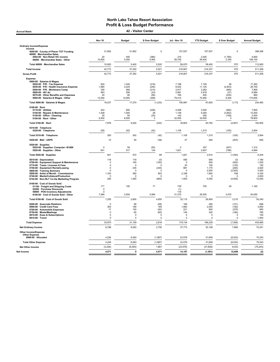Accrual Basis 42 - Visitor Center

|                                                                                                                                                                                                                                                                                                           | Nov 19                                                                      | <b>Budget</b>                                                               | \$ Over Budget                                                            | <b>Jul - Nov 19</b>                                                          | <b>YTD Budget</b>                                                 | \$ Over Budget                                                          | <b>Annual Budget</b>                                                |
|-----------------------------------------------------------------------------------------------------------------------------------------------------------------------------------------------------------------------------------------------------------------------------------------------------------|-----------------------------------------------------------------------------|-----------------------------------------------------------------------------|---------------------------------------------------------------------------|------------------------------------------------------------------------------|-------------------------------------------------------------------|-------------------------------------------------------------------------|---------------------------------------------------------------------|
| <b>Ordinary Income/Expense</b>                                                                                                                                                                                                                                                                            |                                                                             |                                                                             |                                                                           |                                                                              |                                                                   |                                                                         |                                                                     |
| Income<br>4050-00 County of Placer TOT Funding                                                                                                                                                                                                                                                            | 31,852                                                                      | 31,852                                                                      | $\mathsf 0$                                                               | 157,937                                                                      | 157,937                                                           | $\Omega$                                                                | 398,306                                                             |
| 46000 · Merchandise Sales<br>4502-00 · Non-Retail VIC income                                                                                                                                                                                                                                              | 20                                                                          | 400                                                                         | (380)                                                                     | 215                                                                          | 2,000                                                             | (1,785)                                                                 | 4,800                                                               |
| 46000 · Merchandise Sales - Other                                                                                                                                                                                                                                                                         | 10,900                                                                      | 5,000                                                                       | 5,900                                                                     | 58,755                                                                       | 56.400                                                            | 2,355                                                                   | 108,100                                                             |
| Total 46000 · Merchandise Sales                                                                                                                                                                                                                                                                           | 10,920                                                                      | 5,400                                                                       | 5,520                                                                     | 58,970                                                                       | 58,400                                                            | 570                                                                     | 112,900                                                             |
| <b>Total Income</b>                                                                                                                                                                                                                                                                                       | 42,773                                                                      | 37,252                                                                      | 5,521                                                                     | 216,907                                                                      | 216,337                                                           | 570                                                                     | 511,206                                                             |
| <b>Gross Profit</b>                                                                                                                                                                                                                                                                                       | 42,773                                                                      | 37,252                                                                      | 5,521                                                                     | 216,907                                                                      | 216,337                                                           | 570                                                                     | 511,206                                                             |
| Expense<br>5000-00 · Salaries & Wages<br>5020-00 · P/R - Tax Expense<br>5030-00 · P/R - Health Insurance Expense<br>5040-00 · P/R - Workmans Comp<br>5060-00 $\cdot$ 401 (k)<br>5070-00 · Other Benefits and Expenses<br>5000-00 · Salaries & Wages - Other                                               | 924<br>1,980<br>355<br>463<br>24<br>12,292                                  | 1,240<br>2,225<br>569<br>506<br>80<br>12,650                                | (316)<br>(245)<br>(214)<br>(43)<br>(56)<br>(358)                          | 7,198<br>8,522<br>2.817<br>2,881<br>165<br>79,414                            | 7,150<br>11,125<br>3,282<br>2,918<br>400<br>72,950                | 48<br>(2,603)<br>(465)<br>(37)<br>(235)<br>6,464                        | 17,362<br>26,700<br>7.856<br>6,984<br>960<br>174,600                |
| Total 5000-00 · Salaries & Wages                                                                                                                                                                                                                                                                          | 16,037                                                                      | 17,270                                                                      | (1, 233)                                                                  | 100,997                                                                      | 97,825                                                            | 3,172                                                                   | 234,462                                                             |
| 5100-00 · Rent<br>5110-00 · Utilities<br>5140-00 · Repairs & Maintenance<br>5150-00 · Office - Cleaning<br>5100-00 · Rent - Other                                                                                                                                                                         | 424<br>1,028<br>25<br>6,502                                                 | 650<br>1,000<br>50<br>6,500                                                 | (226)<br>28<br>(25)<br>$\overline{2}$                                     | 2,008<br>1,148<br>142<br>32,505                                              | 3,000<br>5,000<br>250<br>32,500                                   | (992)<br>(3, 852)<br>(108)<br>5                                         | 7,600<br>12,000<br>2,500<br>78,800                                  |
| Total 5100-00 · Rent                                                                                                                                                                                                                                                                                      | 7,978                                                                       | 8,200                                                                       | (222)                                                                     | 35,803                                                                       | 40,750                                                            | (4, 947)                                                                | 100,900                                                             |
| 5310-00 · Telephone<br>5320-00 · Telephone                                                                                                                                                                                                                                                                | 200                                                                         | 242                                                                         | (42)                                                                      | 1,105                                                                        | 1,210                                                             | (105)                                                                   | 2.904                                                               |
| Total 5310-00 · Telephone                                                                                                                                                                                                                                                                                 | 200                                                                         | 242                                                                         | (42)                                                                      | 1,105                                                                        | 1,210                                                             | (105)                                                                   | 2,904                                                               |
| 5420-00 · Mail - USPS                                                                                                                                                                                                                                                                                     | 12                                                                          | 50                                                                          | (38)                                                                      | 47                                                                           | 250                                                               | (203)                                                                   | 600                                                                 |
| 5520-00 · Supplies<br>5525-00 · Supplies- Computer <\$1000<br>5520-00 · Supplies - Other                                                                                                                                                                                                                  | $\Omega$<br>641                                                             | 55<br>517                                                                   | (55)<br>124                                                               | $\Omega$<br>1,821                                                            | 307<br>2,607                                                      | (307)<br>(786)                                                          | 1,310<br>4,894                                                      |
| Total 5520-00 · Supplies                                                                                                                                                                                                                                                                                  | 641                                                                         | 572                                                                         | 69                                                                        | 1,821                                                                        | 2,914                                                             | (1,093)                                                                 | 6,204                                                               |
| 5610-00 · Depreciation<br>5700-00 · Equipment Support & Maintenance<br>5710-00 Taxes, Licenses & Fees<br>5740-00 · Equipment Rental/Leasing<br>5800-00 · Training Seminars<br>5850-00 Artist of Month - Commissions<br>6740-00 · Media/Collateral/Production<br>6742-00 · Non-NLT Co-Op Marketing Program | 118<br>0<br>$\Omega$<br>$\mathbf 0$<br>$\Omega$<br>1,163<br>$\Omega$<br>200 | 118<br>100<br>$\mathbf 0$<br>235<br>$\mathbf 0$<br>360<br>$\Omega$<br>1,000 | (0)<br>(100)<br>$\Omega$<br>(235)<br>$\Omega$<br>803<br>$\Omega$<br>(800) | 590<br>$\mathbf 0$<br>20<br>881<br>$\mathbf 0$<br>2,338<br>$\Omega$<br>1,000 | 590<br>500<br>155<br>1.175<br>2,000<br>1,800<br>$\Omega$<br>5,000 | (0)<br>(500)<br>(135)<br>(294)<br>(2,000)<br>538<br>$\Omega$<br>(4,000) | 1,180<br>1,200<br>155<br>2,820<br>3,000<br>4,320<br>3,000<br>12,000 |
| 8100-00 · Cost of Goods Sold<br>51100 · Freight and Shipping Costs<br>52500 · Purchase Discounts<br>59900 · POS Inventory Adjustments                                                                                                                                                                     | 171<br>$\mathbf 0$<br>0                                                     | 100                                                                         | 71                                                                        | 729<br>(1)<br>116                                                            | 700                                                               | 29                                                                      | 1,190                                                               |
| 8100-00 · Cost of Goods Sold - Other                                                                                                                                                                                                                                                                      | 7,084                                                                       | 2,500                                                                       | 4,584                                                                     | 31,270                                                                       | 28,200                                                            | 3,070                                                                   | 54,050                                                              |
| Total 8100-00 · Cost of Goods Sold<br>8200-00 · Associate Relations<br>8500-00 Credit Card Fees<br>8700-00 Automobile Expenses<br>8750-00 · Meals/Meetings<br>8810-00 · Dues & Subscriptions<br>8910-00 · Travel                                                                                          | 7,255<br>$\Omega$<br>354<br>17<br>$\mathbf 0$<br>$\Omega$<br>$\Omega$       | 2,600<br>58<br>189<br>100<br>65<br>$^{\circ}$<br>$\Omega$                   | 4,655<br>(58)<br>165<br>(83)<br>(65)<br>$\Omega$<br>$\mathbf 0$           | 32,115<br>169<br>1,883<br>221<br>145<br>$\Omega$<br>$\Omega$                 | 28,900<br>290<br>2,045<br>500<br>325<br>$\Omega$<br>$\Omega$      | 3,215<br>(121)<br>(162)<br>(279)<br>(180)<br>$\Omega$<br>$\Omega$       | 55,240<br>696<br>3,954<br>950<br>780<br>100<br>1,500                |
| <b>Total Expense</b>                                                                                                                                                                                                                                                                                      | 33,975                                                                      | 31,159                                                                      | 2,816                                                                     | 179,134                                                                      | 186,229                                                           | (7,095)                                                                 | 435,965                                                             |
| <b>Net Ordinary Income</b>                                                                                                                                                                                                                                                                                | 8,798                                                                       | 6,093                                                                       | 2,705                                                                     | 37,773                                                                       | 30,108                                                            | 7,665                                                                   | 75,241                                                              |
| <b>Other Income/Expense</b><br><b>Other Expense</b><br>8990-00 · Allocated                                                                                                                                                                                                                                | 4,226                                                                       | 6,093                                                                       | (1, 867)                                                                  | 23,576                                                                       | 31,609                                                            | (8,033)                                                                 | 75,243                                                              |
| <b>Total Other Expense</b>                                                                                                                                                                                                                                                                                | 4,226                                                                       | 6,093                                                                       | (1, 867)                                                                  | 23,576                                                                       | 31,609                                                            | (8,033)                                                                 | 75,243                                                              |
| <b>Net Other Income</b>                                                                                                                                                                                                                                                                                   | (4, 226)                                                                    | (6,093)                                                                     | 1,867                                                                     | (23, 576)                                                                    | (31, 609)                                                         | 8.033                                                                   | (75, 243)                                                           |
| Net Income                                                                                                                                                                                                                                                                                                | 4,571                                                                       | $\mathbf{0}$                                                                | 4,571                                                                     | 14,197                                                                       | (1, 501)                                                          | 15,698                                                                  | (2)                                                                 |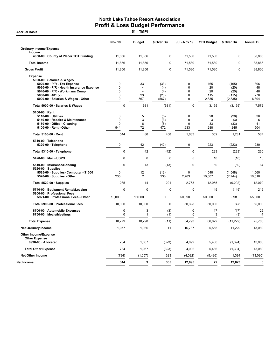**Accrual Basis** 

|                                                                                                                                                                                     | <b>Nov 19</b>                        | <b>Budget</b>                   | \$ Over Bu                 | <b>Jul - Nov 19</b>                            | <b>YTD Budget</b>      | \$ Over Bu                     | <b>Annual Bu</b>       |
|-------------------------------------------------------------------------------------------------------------------------------------------------------------------------------------|--------------------------------------|---------------------------------|----------------------------|------------------------------------------------|------------------------|--------------------------------|------------------------|
| <b>Ordinary Income/Expense</b>                                                                                                                                                      |                                      |                                 |                            |                                                |                        |                                |                        |
| Income<br>4050-00 · County of Placer TOT Funding                                                                                                                                    | 11,856                               | 11,856                          | $\pmb{0}$                  | 71,580                                         | 71,580                 | $\pmb{0}$                      | 88,866                 |
| <b>Total Income</b>                                                                                                                                                                 | 11,856                               | 11,856                          | $\mathbf 0$                | 71,580                                         | 71,580                 | $\pmb{0}$                      | 88,866                 |
| <b>Gross Profit</b>                                                                                                                                                                 | 11,856                               | 11,856                          | $\mathbf 0$                | 71,580                                         | 71,580                 | $\mathbf 0$                    | 88,866                 |
| <b>Expense</b><br>5000-00 · Salaries & Wages<br>5020-00 · P/R - Tax Expense<br>5030-00 · P/R - Health Insurance Expense<br>5040-00 · P/R - Workmans Comp<br>$5060-00 \cdot 401$ (k) | 0<br>0<br>$\mathbf 0$<br>$\mathbf 0$ | 33<br>4<br>$\overline{4}$<br>23 | (33)<br>(4)<br>(4)<br>(23) | $\mathbf 0$<br>0<br>$\mathbf 0$<br>$\mathbf 0$ | 165<br>20<br>20<br>115 | (165)<br>(20)<br>(20)<br>(115) | 396<br>48<br>48<br>276 |
| 5000-00 · Salaries & Wages - Other                                                                                                                                                  | $\mathbf 0$                          | 567                             | (567)                      | $\mathbf 0$                                    | 2,835                  | (2,835)                        | 6,804                  |
| Total 5000-00 · Salaries & Wages                                                                                                                                                    | 0                                    | 631                             | (631)                      | $\mathbf 0$                                    | 3,155                  | (3, 155)                       | 7,572                  |
| 5100-00 · Rent<br>5110-00 · Utilities<br>5140-00 · Repairs & Maintenance<br>5150-00 Office - Cleaning<br>5100-00 · Rent - Other                                                     | 0<br>$\pmb{0}$<br>$\mathbf 0$<br>544 | 5<br>3<br>6<br>72               | (5)<br>(3)<br>(6)<br>472   | $\mathbf 0$<br>0<br>$\Omega$<br>1,633          | 28<br>3<br>33<br>288   | (28)<br>(3)<br>(33)<br>1,345   | 36<br>6<br>41<br>504   |
| Total 5100-00 · Rent                                                                                                                                                                | 544                                  | 86                              | 458                        | 1,633                                          | 352                    | 1,281                          | 587                    |
| 5310-00 · Telephone<br>5320-00 · Telephone                                                                                                                                          | $\pmb{0}$                            | 42                              | (42)                       | $\pmb{0}$                                      | 223                    | (223)                          | 230                    |
| Total 5310-00 · Telephone                                                                                                                                                           | 0                                    | 42                              | (42)                       | $\mathbf 0$                                    | 223                    | (223)                          | 230                    |
| 5420-00 · Mail - USPS                                                                                                                                                               | 0                                    | $\mathbf 0$                     | $\Omega$                   | 0                                              | 18                     | (18)                           | 18                     |
| 5510-00 · Insurance/Bonding<br>$5520-00 \cdot$ Supplies                                                                                                                             | $\Omega$                             | 13                              | (13)                       | 0                                              | 50                     | (50)                           | 64                     |
| 5525-00 · Supplies- Computer <\$1000<br>5520-00 · Supplies - Other                                                                                                                  | 0<br>235                             | 12<br>$\overline{2}$            | (12)<br>233                | 0<br>2,763                                     | 1,548<br>10,507        | (1,548)<br>(7, 744)            | 1,560<br>10,510        |
| Total 5520-00 · Supplies                                                                                                                                                            | 235                                  | 14                              | 221                        | 2,763                                          | 12,055                 | (9,292)                        | 12,070                 |
| 5740-00 · Equipment Rental/Leasing<br>5900-00 · Professional Fees                                                                                                                   | 0                                    | 0                               | 0                          | $\mathbf 0$                                    | 149                    | (149)                          | 216                    |
| 5921-00 · Professional Fees - Other                                                                                                                                                 | 10,000                               | 10,000                          | $\pmb{0}$                  | 50,398                                         | 50,000                 | 398                            | 55,000                 |
| Total 5900-00 · Professional Fees                                                                                                                                                   | 10,000                               | 10,000                          | $\pmb{0}$                  | 50,398                                         | 50,000                 | 398                            | 55,000                 |
| 8700-00 · Automobile Expenses<br>8750-00 · Meals/Meetings                                                                                                                           | $\mathbf 0$<br>0                     | 3<br>1                          | (3)<br>(1)                 | $\mathbf 0$<br>$\mathbf 0$                     | 17<br>3                | (17)<br>(3)                    | 25<br>4                |
| <b>Total Expense</b>                                                                                                                                                                | 10,779                               | 10,790                          | (11)                       | 54,793                                         | 66,022                 | (11, 229)                      | 75,786                 |
| <b>Net Ordinary Income</b>                                                                                                                                                          | 1,077                                | 1,066                           | 11                         | 16,787                                         | 5,558                  | 11,229                         | 13,080                 |
| <b>Other Income/Expense</b><br><b>Other Expense</b>                                                                                                                                 |                                      |                                 |                            |                                                |                        |                                |                        |
| 8990-00 · Allocated                                                                                                                                                                 | 734                                  | 1,057                           | (323)                      | 4,092                                          | 5,486                  | (1, 394)                       | 13,080                 |
| <b>Total Other Expense</b>                                                                                                                                                          | 734                                  | 1,057                           | (323)                      | 4,092                                          | 5,486                  | (1, 394)                       | 13,080                 |
| <b>Net Other Income</b>                                                                                                                                                             | (734)                                | (1,057)                         | 323                        | (4,092)                                        | (5, 486)               | 1,394                          | (13,080)               |
| Net Income                                                                                                                                                                          | 344                                  | 9                               | 335                        | 12,695                                         | 72                     | 12,623                         | $\mathbf 0$            |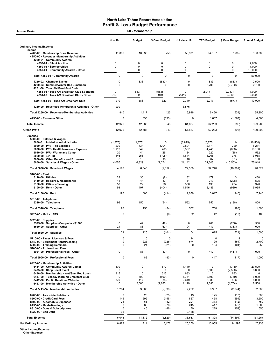| <b>Accrual Basis</b>                                                                                                        | 60 - Membership      |                       |                            |                           |                            |                            |                            |  |
|-----------------------------------------------------------------------------------------------------------------------------|----------------------|-----------------------|----------------------------|---------------------------|----------------------------|----------------------------|----------------------------|--|
|                                                                                                                             | <b>Nov 19</b>        | <b>Budget</b>         | \$ Over Budget             | Jul - Nov 19              | <b>YTD Budget</b>          | \$ Over Budget             | <b>Annual Budget</b>       |  |
| <b>Ordinary Income/Expense</b>                                                                                              |                      |                       |                            |                           |                            |                            |                            |  |
| Income<br>4200-00 · Membership Dues Revenue<br>4250-00 · Revenues-Membership Activities<br>4250-01 · Community Awards       | 11,086               | 10,833                | 253                        | 55,971                    | 54,167                     | 1,805                      | 130.000                    |  |
| 4250-04 · Silent Auction                                                                                                    | 0                    | 0                     | 0                          | 0                         | $\mathbf 0$                | 0                          | 17,000                     |  |
| 4250-05 · Sponsorships<br>4250-01 Community Awards - Other                                                                  | 0<br>0               | 0<br>0                | 0<br>0                     | 0<br>0                    | $\mathbf 0$<br>$\mathbf 0$ | 0<br>0                     | 17,000<br>16,000           |  |
| Total 4250-01 · Community Awards                                                                                            | $\mathbf 0$          | $\mathbf 0$           | $\mathbf 0$                | $\mathbf 0$               | $\mathbf 0$                | $\Omega$                   | 50,000                     |  |
| 4250-02 · Chamber Events                                                                                                    | 0                    | 833                   | (833)                      | 0                         | 833                        | (833)                      | 2,500                      |  |
| 4250-03 · Summer/Winter Rec Luncheon                                                                                        | 0                    | $\Omega$              | $\Omega$                   | 0                         | 2,700                      | (2,700)                    | 2,700                      |  |
| 4251-00 · Tues AM Breakfast Club<br>4251-01 · Tues AM Breakfast Club Sponsors<br>4251-00 · Tues AM Breakfast Club - Other   | $\Omega$<br>910      | 583<br>0              | (583)<br>910               | $\mathbf 0$<br>2,340      | 2,917<br>0                 | (2, 917)<br>2,340          | 7,000<br>3,000             |  |
| Total 4251-00 · Tues AM Breakfast Club                                                                                      | 910                  | 583                   | 327                        | 2,340                     | 2,917                      | (577)                      | 10,000                     |  |
| 4250-00 · Revenues-Membership Activities - Other                                                                            | 930                  |                       |                            | 3,576                     |                            |                            |                            |  |
| Total 4250-00 · Revenues-Membership Activities                                                                              | 1,840                | 1,417                 | 423                        | 5,916                     | 6,450                      | (534)                      | 65,200                     |  |
| 4253-00 · Revenue-Other                                                                                                     | 0                    | 333                   | (333)                      | 0                         | 1,667                      | (1,667)                    | 4,000                      |  |
| <b>Total Income</b>                                                                                                         | 12,926               | 12,583                | 343                        | 61,887                    | 62,283                     | (396)                      | 199,200                    |  |
| <b>Gross Profit</b>                                                                                                         | 12,926               | 12,583                | 343                        | 61,887                    | 62,283                     | (396)                      | 199,200                    |  |
| <b>Expense</b><br>5000-00 · Salaries & Wages                                                                                |                      |                       |                            |                           |                            |                            |                            |  |
| 5000-01 · In-Market Administration                                                                                          | (1, 375)             | (1, 375)              | 0                          | (6, 875)                  | (6, 875)                   | 0                          | (16, 500)                  |  |
| 5020-00 · P/R - Tax Expense<br>5030-00 · P/R - Health Insurance Expense                                                     | 230<br>1,112         | 434<br>849            | (204)<br>263               | 2,891<br>3,357            | 2,171<br>4,245             | 720<br>(888)               | 5,211<br>10,188            |  |
| 5040-00 · P/R - Workmans Comp                                                                                               | 20                   | 44                    | (25)                       | 184                       | 222                        | (38)                       | 532                        |  |
| $5060-00 \cdot 401$ (k)<br>5070-00 Other Benefits and Expenses                                                              | 146<br>8             | 253<br>13             | (108)<br>(5)               | 1,644<br>16               | 1,266<br>67                | 378<br>(51)                | 3,038<br>160               |  |
| 5000-00 · Salaries & Wages - Other                                                                                          | 4,055                | 6,329                 | (2, 274)                   | 21,142                    | 31,645                     | (10, 503)                  | 75,948                     |  |
| Total 5000-00 · Salaries & Wages                                                                                            | 4,196                | 6,548                 | (2, 352)                   | 22,360                    | 32,740                     | (10, 381)                  | 78,577                     |  |
| $5100-00 \cdot$ Rent                                                                                                        |                      |                       |                            |                           |                            |                            |                            |  |
| $5110-00 \cdot$ Utilities<br>5140-00 · Repairs & Maintenance<br>5150-00 · Office - Cleaning<br>$5100-00 \cdot$ Rent - Other | 28<br>11<br>58<br>93 | 36<br>44<br>27<br>497 | (8)<br>(33)<br>32<br>(404) | 182<br>11<br>338<br>1,546 | 179<br>219<br>133<br>2,485 | 3<br>(208)<br>204<br>(939) | 430<br>525<br>320<br>5,965 |  |
| Total 5100-00 · Rent                                                                                                        | 190                  | 603                   | (414)                      | 2,076                     | 3,017                      | (940)                      | 7,240                      |  |
| 5310-00 · Telephone<br>5320-00 · Telephone                                                                                  | 96                   | 150                   | (54)                       | 552                       | 750                        | (198)                      | 1,800                      |  |
| Total 5310-00 · Telephone                                                                                                   | 96                   | 150                   | (54)                       | 552                       | 750                        | (198)                      | 1,800                      |  |
| 5420-00 Mail USPS                                                                                                           | 8                    | 8                     | (0)                        | 32                        | 42                         | (10)                       | 100                        |  |
| $5520-00 \cdot$ Supplies                                                                                                    |                      |                       |                            |                           |                            |                            |                            |  |
| 5525-00 · Supplies- Computer <\$1000<br>5520-00 · Supplies - Other                                                          | 0<br>21              | 42<br>83              | (42)<br>(63)               | 0<br>104                  | 208<br>417                 | (208)<br>(313)             | 500<br>1,000               |  |
| Total 5520-00 · Supplies                                                                                                    | 21                   | 125                   | (104)                      | 104                       | 625                        | (521)                      | 1,500                      |  |
| 5710-00 · Taxes, Licenses & Fees                                                                                            | 0                    | 0                     | 0                          | 14                        | 0                          | 14                         | 0                          |  |
| 5740-00 · Equipment Rental/Leasing<br>5800-00 · Training Seminars<br>5900-00 · Professional Fees                            | 0<br>0               | 225<br>21             | (225)<br>(21)              | 674<br>0                  | 1,125<br>104               | (451)<br>(104)             | 2,700<br>250               |  |
| 5921-00 · Professional Fees - Other                                                                                         | 0                    | 83                    | (83)                       | 0                         | 417                        | (417)                      | 1,000                      |  |
| Total 5900-00 · Professional Fees                                                                                           | 0                    | 83                    | (83)                       | $\mathbf 0$               | 417                        | (417)                      | 1,000                      |  |
| 6423-00 · Membership Activities<br>6434-00 · Community Awards Dinner                                                        | 570                  | 0                     | 570                        | 1,140                     | 0                          | 1,140                      | 27,500                     |  |
| 6435-00 · Shop Local Event                                                                                                  | 0                    | 0                     | 0                          | 0                         | 2,500                      | (2,500)                    | 5,000                      |  |
| 6436-00 · Membership - Wnt/Sum Rec Lunch<br>6437-00 · Tuesday Morning Breakfast Club                                        | 315<br>0             | 0<br>500              | 315<br>(500)               | 633<br>1,741              | $\mathbf 0$<br>2,500       | 633<br>(759)               | 0<br>6,000                 |  |
| 6442-00 · Public Relations/Website                                                                                          | 379                  | 417                   | (38)                       | 2,649                     | 2,083                      | 566                        | 5,000                      |  |
| 6423-00 · Membership Activities - Other                                                                                     | 0                    | 2,683                 | (2,683)                    | 1,129                     | 2,883                      | (1,754)                    | 8,500                      |  |
| Total 6423-00 · Membership Activities                                                                                       | 1,264                | 3,600                 | (2, 336)                   | 7,292                     | 9,967                      | (2,674)                    | 52,000                     |  |
| 8200-00 · Associate Relations<br>8500-00 · Credit Card Fees                                                                 | $\mathbf 0$<br>145   | 25<br>292             | (25)<br>(146)              | 13<br>867                 | 125<br>1,458               | (113)<br>(591)             | 300<br>3,500               |  |
| 8700-00 · Automobile Expenses                                                                                               | 21                   | 63                    | (42)                       | 201                       | 313                        | (112)                      | 750                        |  |
| 8750-00 · Meals/Meetings<br>8810-00 · Dues & Subscriptions                                                                  | 8<br>0               | 83<br>46              | (76)<br>(46)               | 245<br>70                 | 417<br>229                 | (172)<br>(159)             | 1,000<br>550               |  |
| 8920-00 · Bad Debt                                                                                                          | 95                   |                       |                            | 2,138                     |                            |                            |                            |  |
| <b>Total Expense</b>                                                                                                        | 6,043                | 11,872                | (5,829)                    | 36,637                    | 51,328                     | (14, 691)                  | 151,267                    |  |
| <b>Net Ordinary Income</b>                                                                                                  | 6,883                | 711                   | 6,172                      | 25,250                    | 10,955                     | 14,295                     | 47,933                     |  |

Other Income/Expense Other Expense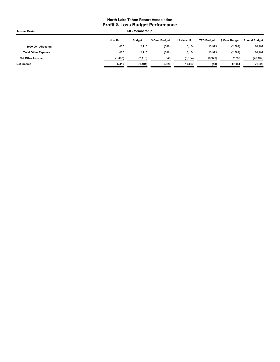| <b>Accrual Basis</b>       | 60 - Membership |               |                |              |                   |                |                      |
|----------------------------|-----------------|---------------|----------------|--------------|-------------------|----------------|----------------------|
|                            | Nov 19          | <b>Budget</b> | \$ Over Budget | Jul - Nov 19 | <b>YTD Budget</b> | \$ Over Budget | <b>Annual Budget</b> |
| 8990-00 · Allocated        | 1,467           | 2,115         | (648)          | 8,184        | 10,973            | (2,789)        | 26,107               |
| <b>Total Other Expense</b> | 1.467           | 2.115         | (648)          | 8,184        | 10,973            | (2,789)        | 26,107               |
| Net Other Income           | (1, 467)        | (2, 115)      | 648            | (8, 184)     | (10, 973)         | 2,789          | (26, 107)            |
| Net Income                 | 5.416           | (1,404)       | 6,820          | 17.067       | (18)              | 17.084         | 21,826               |